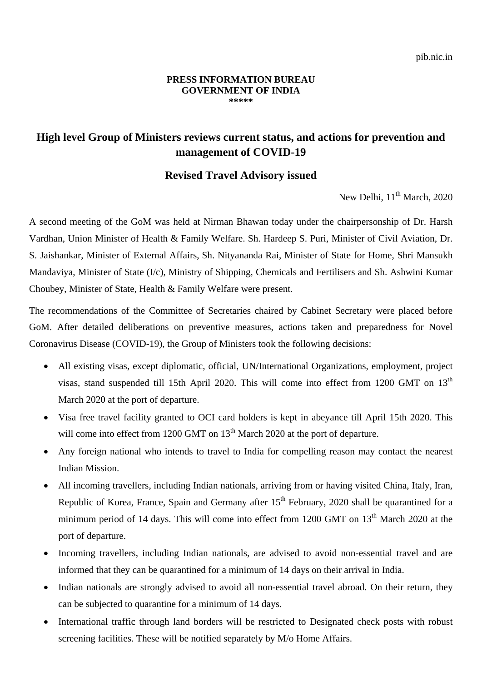## **PRESS INFORMATION BUREAU GOVERNMENT OF INDIA \*\*\*\*\***

## **High level Group of Ministers reviews current status, and actions for prevention and management of COVID-19**

## **Revised Travel Advisory issued**

New Delhi,  $11<sup>th</sup>$  March, 2020

A second meeting of the GoM was held at Nirman Bhawan today under the chairpersonship of Dr. Harsh Vardhan, Union Minister of Health & Family Welfare. Sh. Hardeep S. Puri, Minister of Civil Aviation, Dr. S. Jaishankar, Minister of External Affairs, Sh. Nityananda Rai, Minister of State for Home, Shri Mansukh Mandaviya, Minister of State (I/c), Ministry of Shipping, Chemicals and Fertilisers and Sh. Ashwini Kumar Choubey, Minister of State, Health & Family Welfare were present.

The recommendations of the Committee of Secretaries chaired by Cabinet Secretary were placed before GoM. After detailed deliberations on preventive measures, actions taken and preparedness for Novel Coronavirus Disease (COVID-19), the Group of Ministers took the following decisions:

- All existing visas, except diplomatic, official, UN/International Organizations, employment, project visas, stand suspended till 15th April 2020. This will come into effect from 1200 GMT on 13<sup>th</sup> March 2020 at the port of departure.
- Visa free travel facility granted to OCI card holders is kept in abeyance till April 15th 2020. This will come into effect from 1200 GMT on  $13<sup>th</sup>$  March 2020 at the port of departure.
- Any foreign national who intends to travel to India for compelling reason may contact the nearest Indian Mission.
- All incoming travellers, including Indian nationals, arriving from or having visited China, Italy, Iran, Republic of Korea, France, Spain and Germany after  $15<sup>th</sup>$  February, 2020 shall be quarantined for a minimum period of 14 days. This will come into effect from 1200 GMT on 13<sup>th</sup> March 2020 at the port of departure.
- Incoming travellers, including Indian nationals, are advised to avoid non-essential travel and are informed that they can be quarantined for a minimum of 14 days on their arrival in India.
- Indian nationals are strongly advised to avoid all non-essential travel abroad. On their return, they can be subjected to quarantine for a minimum of 14 days.
- International traffic through land borders will be restricted to Designated check posts with robust screening facilities. These will be notified separately by M/o Home Affairs.